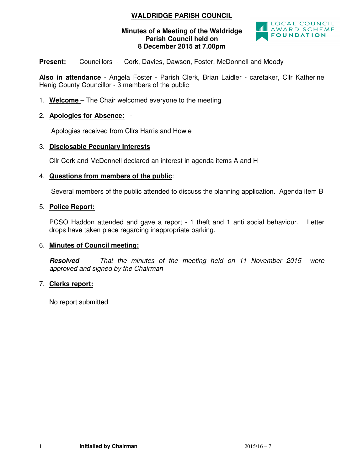# **WALDRIDGE PARISH COUNCIL**

# **Minutes of a Meeting of the Waldridge Parish Council held on 8 December 2015 at 7.00pm**



**Present:** Councillors - Cork, Davies, Dawson, Foster, McDonnell and Moody

**Also in attendance** - Angela Foster - Parish Clerk, Brian Laidler - caretaker, Cllr Katherine Henig County Councillor - 3 members of the public

1. **Welcome** – The Chair welcomed everyone to the meeting

# 2. **Apologies for Absence:** -

Apologies received from Cllrs Harris and Howie

#### 3. **Disclosable Pecuniary Interests** ٦

Cllr Cork and McDonnell declared an interest in agenda items A and H

# 4. **Questions from members of the public**:

Several members of the public attended to discuss the planning application. Agenda item B

# 5. **Police Report:**

PCSO Haddon attended and gave a report - 1 theft and 1 anti social behaviour. Letter drops have taken place regarding inappropriate parking.

# 6. **Minutes of Council meeting:**

**Resolved** *That the minutes of the meeting held on 11 November 2015 were approved and signed by the Chairman* 

# 7. **Clerks report:**

No report submitted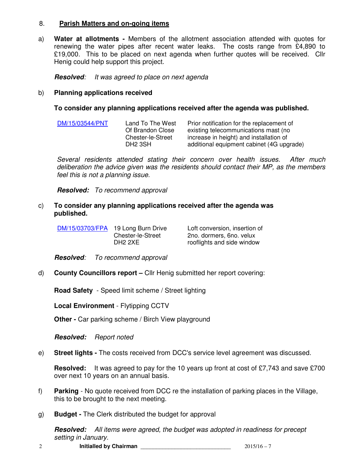#### 8. **Parish Matters and on-going items**

a) **Water at allotments -** Members of the allotment association attended with quotes for renewing the water pipes after recent water leaks. The costs range from £4,890 to £19,000. This to be placed on next agenda when further quotes will be received. Cllr Henig could help support this project.

**Resolved***: It was agreed to place on next agenda* 

#### b) **Planning applications received**

**To consider any planning applications received after the agenda was published.** 

| DM/15/03544/PNT | Land To The West    | Prior notification for the replacement of |
|-----------------|---------------------|-------------------------------------------|
|                 | Of Brandon Close    | existing telecommunications mast (no      |
|                 | Chester-le-Street   | increase in height) and installation of   |
|                 | DH <sub>2</sub> 3SH | additional equipment cabinet (4G upgrade) |

*Several residents attended stating their concern over health issues. After much deliberation the advice given was the residents should contact their MP, as the members feel this is not a planning issue.* 

**Resolved:** *To recommend approval*

c) **To consider any planning applications received after the agenda was published.** 

| DM/15/03703/FPA 19 Long Burn Drive | Loft conversion, insertion of |
|------------------------------------|-------------------------------|
| Chester-le-Street                  | 2no. dormers, 6no. velux      |
| DH <sub>2</sub> 2XE                | rooflights and side window    |

**Resolved***: To recommend approval* 

d) **County Councillors report –** Cllr Henig submitted her report covering:

**Road Safety** - Speed limit scheme / Street lighting

**Local Environment** - Flytipping CCTV

**Other - Car parking scheme / Birch View playground** 

**Resolved:** *Report noted*

e) **Street lights -** The costs received from DCC's service level agreement was discussed.

**Resolved:** It was agreed to pay for the 10 years up front at cost of £7,743 and save £700 over next 10 years on an annual basis.

- f) **Parking** No quote received from DCC re the installation of parking places in the Village, this to be brought to the next meeting.
- g) **Budget** The Clerk distributed the budget for approval

**Resolved:** *All items were agreed, the budget was adopted in readiness for precept setting in January.*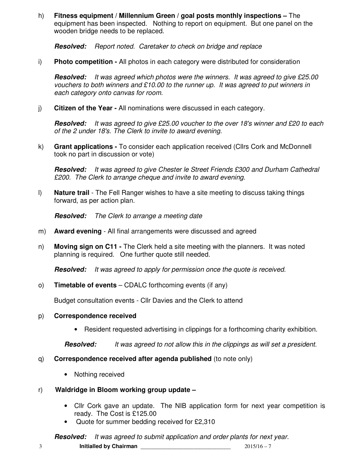h) **Fitness equipment / Millennium Green / goal posts monthly inspections –** The equipment has been inspected. Nothing to report on equipment. But one panel on the wooden bridge needs to be replaced.

**Resolved:** *Report noted. Caretaker to check on bridge and replace* 

i) **Photo competition -** All photos in each category were distributed for consideration

**Resolved:** *It was agreed which photos were the winners. It was agreed to give £25.00 vouchers to both winners and £10.00 to the runner up. It was agreed to put winners in each category onto canvas for room.*

j) **Citizen of the Year -** All nominations were discussed in each category.

**Resolved:** *It was agreed to give £25.00 voucher to the over 18's winner and £20 to each of the 2 under 18's. The Clerk to invite to award evening.* 

k) **Grant applications -** To consider each application received (Cllrs Cork and McDonnell took no part in discussion or vote)

**Resolved:** *It was agreed to give Chester le Street Friends £300 and Durham Cathedral £200. The Clerk to arrange cheque and invite to award evening.* 

l) **Nature trail** - The Fell Ranger wishes to have a site meeting to discuss taking things forward, as per action plan.

**Resolved:** *The Clerk to arrange a meeting date* 

- m) **Award evening**  All final arrangements were discussed and agreed
- n) **Moving sign on C11** The Clerk held a site meeting with the planners. It was noted planning is required. One further quote still needed.

**Resolved:** *It was agreed to apply for permission once the quote is received.* 

o) **Timetable of events** – CDALC forthcoming events (if any)

Budget consultation events - Cllr Davies and the Clerk to attend

# p) **Correspondence received**

• Resident requested advertising in clippings for a forthcoming charity exhibition.

**Resolved:** *It was agreed to not allow this in the clippings as will set a president.* 

- q) **Correspondence received after agenda published** (to note only)
	- Nothing received
- r) **Waldridge in Bloom working group update** 
	- Cllr Cork gave an update. The NIB application form for next year competition is ready. The Cost is £125.00
	- Quote for summer bedding received for £2,310

3 **Initialled by Chairman** \_\_\_\_\_\_\_\_\_\_\_\_\_\_\_\_\_\_\_\_\_\_\_\_\_\_\_\_\_ 2015/16 – 7 **Resolved:** *It was agreed to submit application and order plants for next year.*